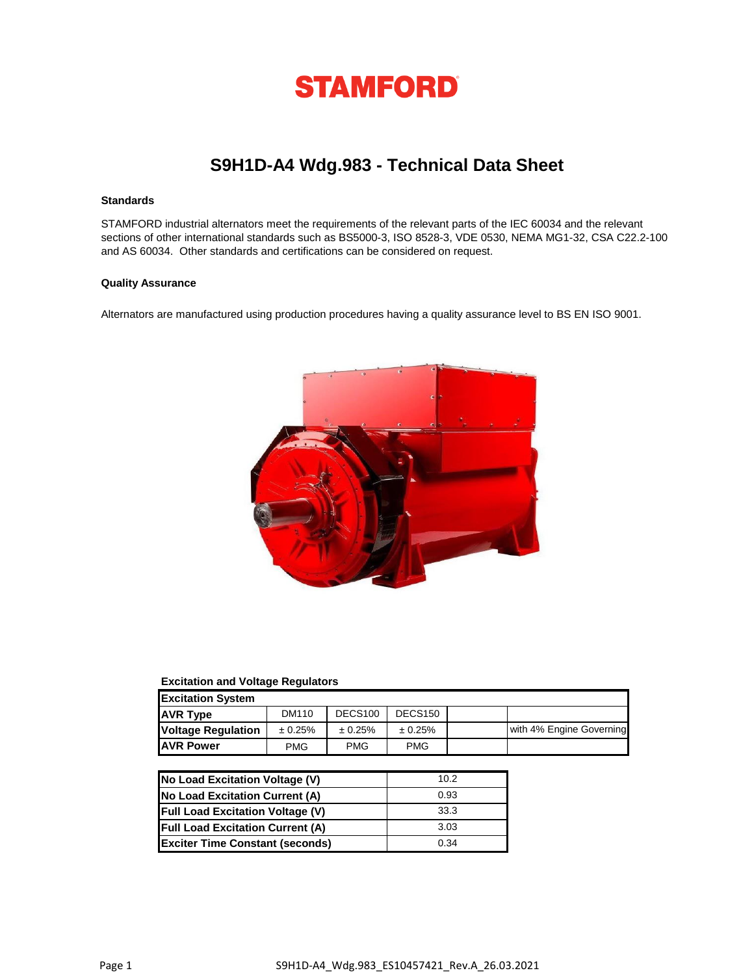

# **S9H1D-A4 Wdg.983 - Technical Data Sheet**

## **Standards**

STAMFORD industrial alternators meet the requirements of the relevant parts of the IEC 60034 and the relevant sections of other international standards such as BS5000-3, ISO 8528-3, VDE 0530, NEMA MG1-32, CSA C22.2-100 and AS 60034. Other standards and certifications can be considered on request.

## **Quality Assurance**

Alternators are manufactured using production procedures having a quality assurance level to BS EN ISO 9001.



### **Excitation and Voltage Regulators**

| <b>Excitation System</b>  |            |                     |                     |  |                          |  |  |  |
|---------------------------|------------|---------------------|---------------------|--|--------------------------|--|--|--|
| <b>AVR Type</b>           | DM110      | DECS <sub>100</sub> | DECS <sub>150</sub> |  |                          |  |  |  |
| <b>Voltage Regulation</b> | ± 0.25%    | ± 0.25%             | ± 0.25%             |  | with 4% Engine Governing |  |  |  |
| <b>JAVR Power</b>         | <b>PMG</b> | <b>PMG</b>          | <b>PMG</b>          |  |                          |  |  |  |

| No Load Excitation Voltage (V)          | 10.2 |
|-----------------------------------------|------|
| No Load Excitation Current (A)          | 0.93 |
| <b>Full Load Excitation Voltage (V)</b> | 33.3 |
| <b>Full Load Excitation Current (A)</b> | 3.03 |
| <b>Exciter Time Constant (seconds)</b>  | 0.34 |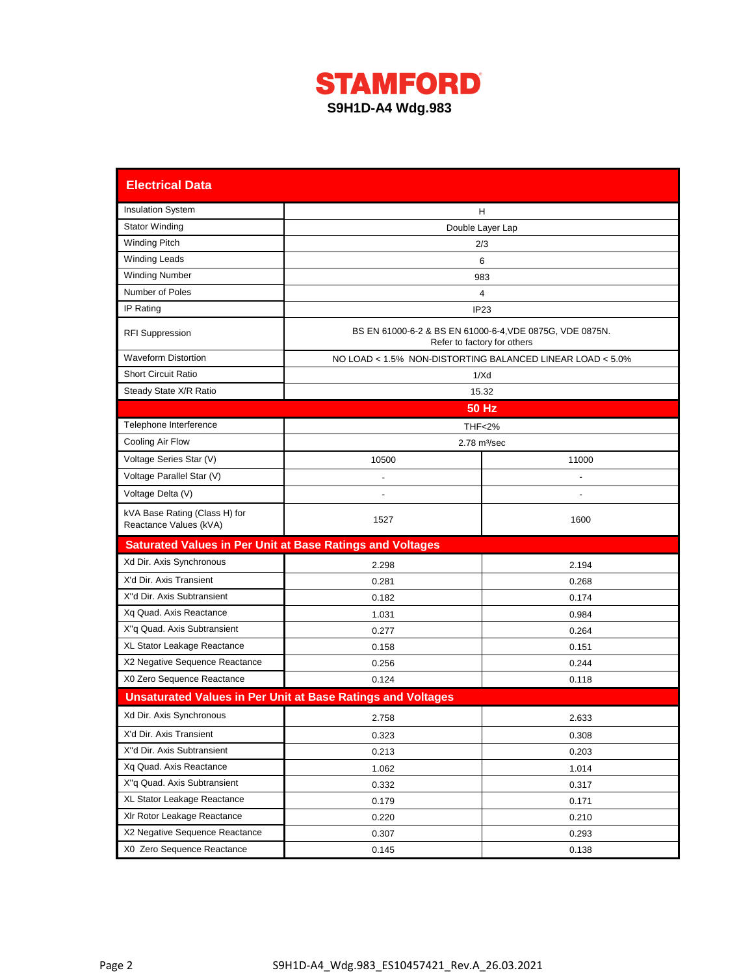

| <b>Electrical Data</b>                                           |                                                                    |                                                                                         |  |  |  |  |  |
|------------------------------------------------------------------|--------------------------------------------------------------------|-----------------------------------------------------------------------------------------|--|--|--|--|--|
| <b>Insulation System</b>                                         |                                                                    | н                                                                                       |  |  |  |  |  |
| <b>Stator Winding</b>                                            | Double Layer Lap                                                   |                                                                                         |  |  |  |  |  |
| Winding Pitch                                                    |                                                                    | 2/3                                                                                     |  |  |  |  |  |
| <b>Winding Leads</b>                                             |                                                                    | 6                                                                                       |  |  |  |  |  |
| <b>Winding Number</b>                                            |                                                                    | 983                                                                                     |  |  |  |  |  |
| Number of Poles                                                  |                                                                    | 4                                                                                       |  |  |  |  |  |
| IP Rating                                                        |                                                                    | IP <sub>23</sub>                                                                        |  |  |  |  |  |
| <b>RFI Suppression</b>                                           |                                                                    | BS EN 61000-6-2 & BS EN 61000-6-4, VDE 0875G, VDE 0875N.<br>Refer to factory for others |  |  |  |  |  |
| <b>Waveform Distortion</b>                                       |                                                                    | NO LOAD < 1.5% NON-DISTORTING BALANCED LINEAR LOAD < 5.0%                               |  |  |  |  |  |
| <b>Short Circuit Ratio</b>                                       |                                                                    | 1/Xd                                                                                    |  |  |  |  |  |
| Steady State X/R Ratio                                           |                                                                    | 15.32                                                                                   |  |  |  |  |  |
|                                                                  |                                                                    | <b>50 Hz</b>                                                                            |  |  |  |  |  |
| Telephone Interference                                           |                                                                    | <b>THF&lt;2%</b>                                                                        |  |  |  |  |  |
| Cooling Air Flow                                                 |                                                                    | $2.78$ m $\frac{3}{sec}$                                                                |  |  |  |  |  |
| Voltage Series Star (V)                                          | 10500                                                              | 11000                                                                                   |  |  |  |  |  |
| Voltage Parallel Star (V)                                        |                                                                    |                                                                                         |  |  |  |  |  |
| Voltage Delta (V)                                                | $\overline{a}$                                                     |                                                                                         |  |  |  |  |  |
| kVA Base Rating (Class H) for                                    | 1527                                                               | 1600                                                                                    |  |  |  |  |  |
| Reactance Values (kVA)                                           |                                                                    |                                                                                         |  |  |  |  |  |
| <b>Saturated Values in Per Unit at Base Ratings and Voltages</b> |                                                                    |                                                                                         |  |  |  |  |  |
| Xd Dir. Axis Synchronous                                         | 2.298                                                              | 2.194                                                                                   |  |  |  |  |  |
| X'd Dir. Axis Transient                                          | 0.281                                                              | 0.268                                                                                   |  |  |  |  |  |
| X"d Dir. Axis Subtransient                                       | 0.182                                                              | 0.174                                                                                   |  |  |  |  |  |
| Xq Quad. Axis Reactance                                          | 1.031                                                              | 0.984                                                                                   |  |  |  |  |  |
| X"q Quad. Axis Subtransient                                      | 0.277                                                              | 0.264                                                                                   |  |  |  |  |  |
| XL Stator Leakage Reactance                                      | 0.158                                                              | 0.151                                                                                   |  |  |  |  |  |
| X2 Negative Sequence Reactance                                   | 0.256                                                              | 0.244                                                                                   |  |  |  |  |  |
| X0 Zero Sequence Reactance                                       | 0.124                                                              | 0.118                                                                                   |  |  |  |  |  |
|                                                                  | <b>Unsaturated Values in Per Unit at Base Ratings and Voltages</b> |                                                                                         |  |  |  |  |  |
| Xd Dir. Axis Synchronous                                         | 2.758                                                              | 2.633                                                                                   |  |  |  |  |  |
| X'd Dir. Axis Transient                                          | 0.323                                                              | 0.308                                                                                   |  |  |  |  |  |
| X"d Dir. Axis Subtransient                                       | 0.213                                                              | 0.203                                                                                   |  |  |  |  |  |
| Xq Quad. Axis Reactance                                          | 1.062                                                              | 1.014                                                                                   |  |  |  |  |  |
| X"q Quad. Axis Subtransient                                      | 0.332                                                              | 0.317                                                                                   |  |  |  |  |  |
| XL Stator Leakage Reactance                                      | 0.179                                                              | 0.171                                                                                   |  |  |  |  |  |
| XIr Rotor Leakage Reactance                                      | 0.220                                                              | 0.210                                                                                   |  |  |  |  |  |
| X2 Negative Sequence Reactance                                   | 0.307                                                              | 0.293                                                                                   |  |  |  |  |  |
| X0 Zero Sequence Reactance                                       | 0.145                                                              | 0.138                                                                                   |  |  |  |  |  |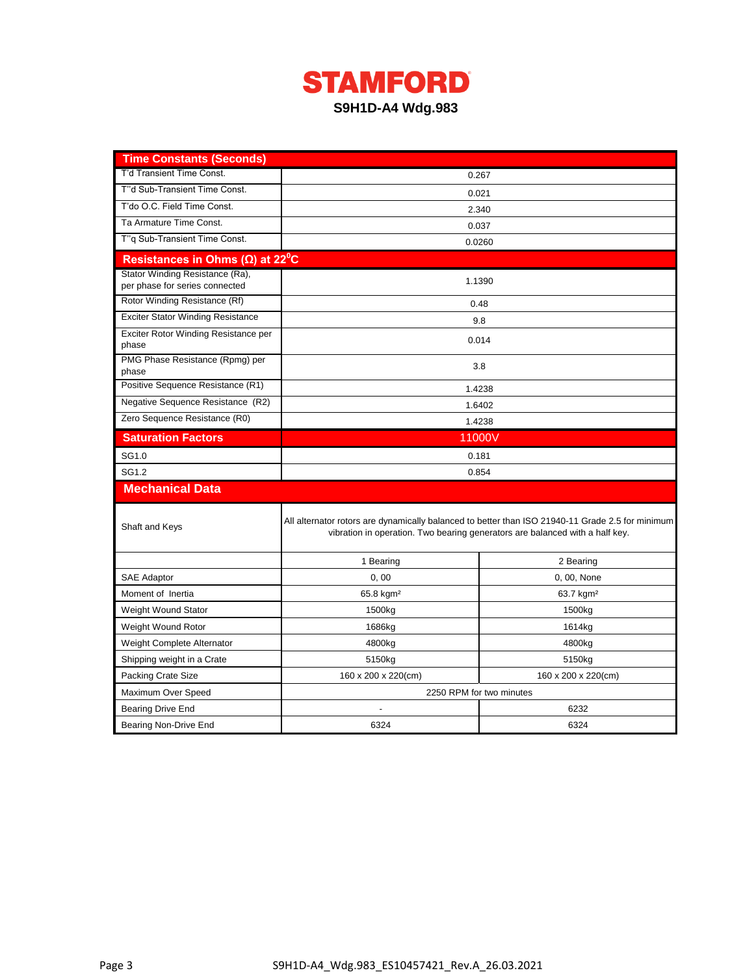

| <b>Time Constants (Seconds)</b>                                   |                                                                                                                                                                                  |                       |  |  |  |  |
|-------------------------------------------------------------------|----------------------------------------------------------------------------------------------------------------------------------------------------------------------------------|-----------------------|--|--|--|--|
| T'd Transient Time Const.                                         |                                                                                                                                                                                  | 0.267                 |  |  |  |  |
| T"d Sub-Transient Time Const.                                     | 0.021                                                                                                                                                                            |                       |  |  |  |  |
| T'do O.C. Field Time Const.                                       | 2.340                                                                                                                                                                            |                       |  |  |  |  |
| Ta Armature Time Const.                                           |                                                                                                                                                                                  | 0.037                 |  |  |  |  |
| T"q Sub-Transient Time Const.                                     |                                                                                                                                                                                  | 0.0260                |  |  |  |  |
| Resistances in Ohms ( $\Omega$ ) at 22 <sup>°</sup> C             |                                                                                                                                                                                  |                       |  |  |  |  |
| Stator Winding Resistance (Ra),<br>per phase for series connected |                                                                                                                                                                                  | 1.1390                |  |  |  |  |
| Rotor Winding Resistance (Rf)                                     |                                                                                                                                                                                  | 0.48                  |  |  |  |  |
| <b>Exciter Stator Winding Resistance</b>                          |                                                                                                                                                                                  | 9.8                   |  |  |  |  |
| Exciter Rotor Winding Resistance per<br>phase                     |                                                                                                                                                                                  | 0.014                 |  |  |  |  |
| PMG Phase Resistance (Rpmg) per<br>phase                          |                                                                                                                                                                                  | 3.8                   |  |  |  |  |
| Positive Sequence Resistance (R1)                                 |                                                                                                                                                                                  | 1.4238                |  |  |  |  |
| Negative Sequence Resistance (R2)                                 |                                                                                                                                                                                  | 1.6402                |  |  |  |  |
| Zero Sequence Resistance (R0)                                     |                                                                                                                                                                                  | 1.4238                |  |  |  |  |
| <b>Saturation Factors</b>                                         | 11000V                                                                                                                                                                           |                       |  |  |  |  |
| SG1.0                                                             | 0.181                                                                                                                                                                            |                       |  |  |  |  |
| SG1.2                                                             | 0.854                                                                                                                                                                            |                       |  |  |  |  |
| <b>Mechanical Data</b>                                            |                                                                                                                                                                                  |                       |  |  |  |  |
| Shaft and Keys                                                    | All alternator rotors are dynamically balanced to better than ISO 21940-11 Grade 2.5 for minimum<br>vibration in operation. Two bearing generators are balanced with a half key. |                       |  |  |  |  |
|                                                                   | 1 Bearing                                                                                                                                                                        | 2 Bearing             |  |  |  |  |
| <b>SAE Adaptor</b>                                                | 0,00                                                                                                                                                                             | 0, 00, None           |  |  |  |  |
| Moment of Inertia                                                 | 65.8 kgm <sup>2</sup>                                                                                                                                                            | 63.7 kgm <sup>2</sup> |  |  |  |  |
| Weight Wound Stator                                               | 1500kg                                                                                                                                                                           | 1500kg                |  |  |  |  |
| Weight Wound Rotor                                                | 1686kg                                                                                                                                                                           | 1614kg                |  |  |  |  |
| Weight Complete Alternator                                        | 4800kg                                                                                                                                                                           | 4800kg                |  |  |  |  |
| Shipping weight in a Crate                                        | 5150kg                                                                                                                                                                           | 5150kg                |  |  |  |  |
| Packing Crate Size                                                | 160 x 200 x 220(cm)<br>160 x 200 x 220(cm)                                                                                                                                       |                       |  |  |  |  |
| Maximum Over Speed                                                | 2250 RPM for two minutes                                                                                                                                                         |                       |  |  |  |  |
| <b>Bearing Drive End</b>                                          | 6232                                                                                                                                                                             |                       |  |  |  |  |
| Bearing Non-Drive End                                             | 6324                                                                                                                                                                             | 6324                  |  |  |  |  |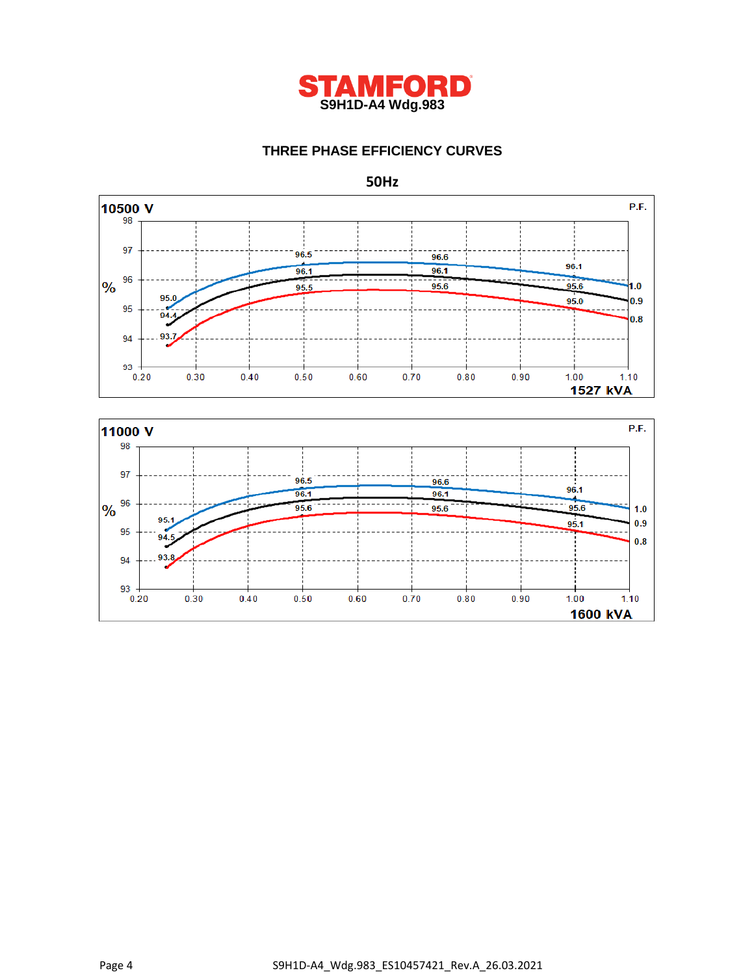

## **THREE PHASE EFFICIENCY CURVES**





**50Hz**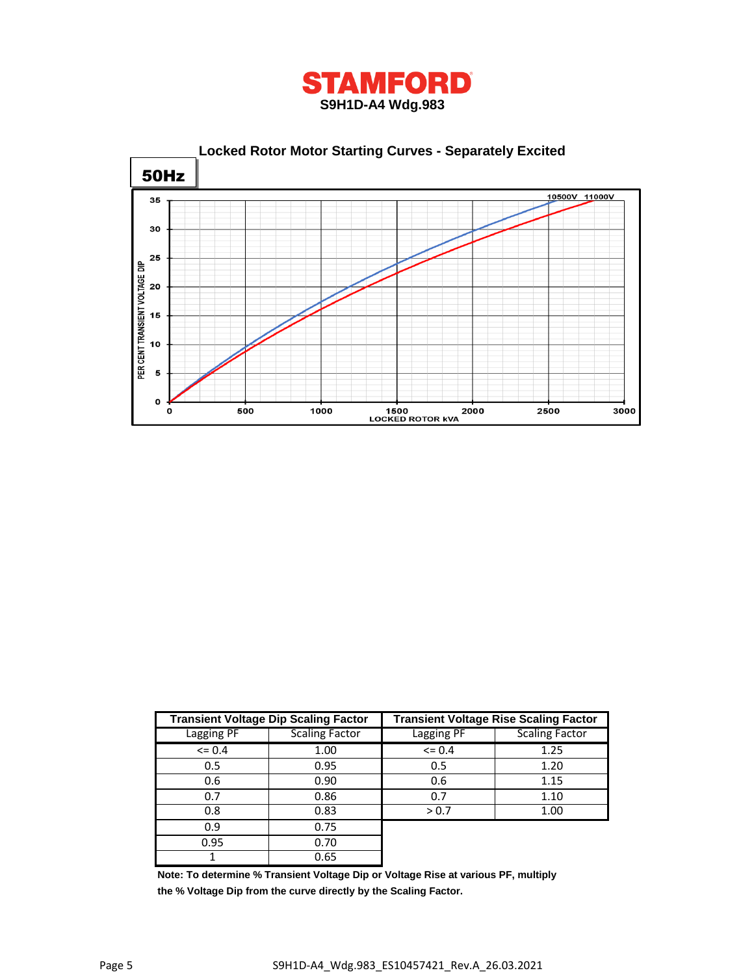



|                   | <b>Transient Voltage Dip Scaling Factor</b> | <b>Transient Voltage Rise Scaling Factor</b> |                       |  |  |
|-------------------|---------------------------------------------|----------------------------------------------|-----------------------|--|--|
| <b>Lagging PF</b> | <b>Scaling Factor</b>                       | <b>Lagging PF</b>                            | <b>Scaling Factor</b> |  |  |
| $\leq$ 0.4        | 1.00                                        | $\leq$ 0.4                                   | 1.25                  |  |  |
| 0.5               | 0.95                                        | 0.5                                          | 1.20                  |  |  |
| 0.6               | 0.90                                        | 0.6                                          | 1.15                  |  |  |
| 0.7               | 0.86                                        | 0.7                                          | 1.10                  |  |  |
| 0.8               | 0.83                                        | > 0.7                                        | 1.00                  |  |  |
| 0.9               | 0.75                                        |                                              |                       |  |  |
| 0.95              | 0.70                                        |                                              |                       |  |  |
|                   | 0.65                                        |                                              |                       |  |  |

**Note: To determine % Transient Voltage Dip or Voltage Rise at various PF, multiply the % Voltage Dip from the curve directly by the Scaling Factor.**

ı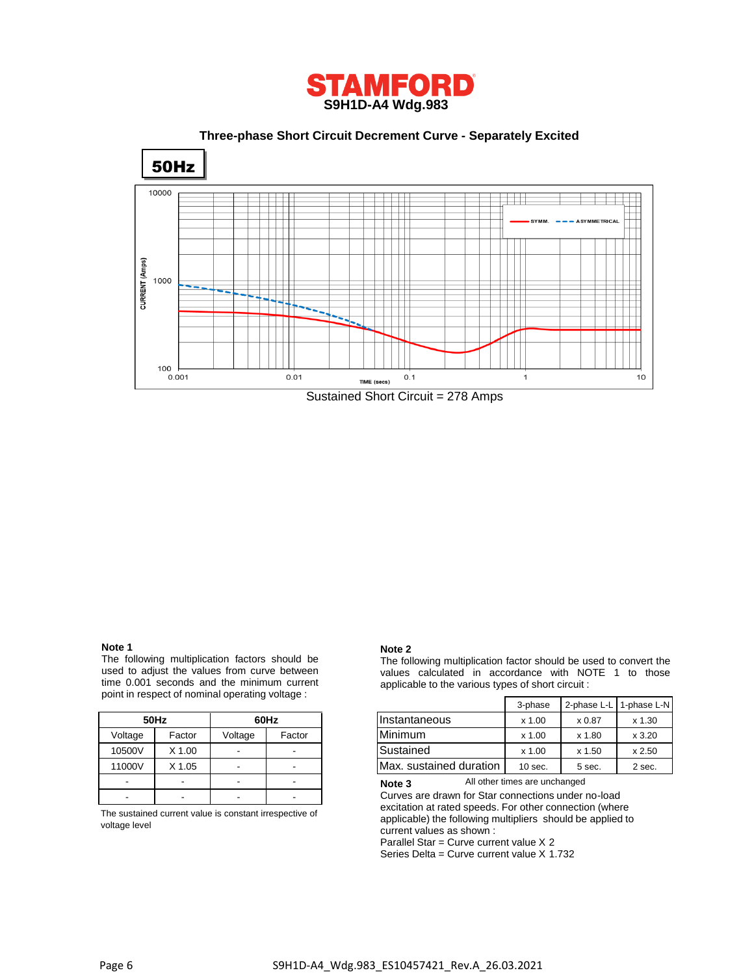

 **Three-phase Short Circuit Decrement Curve - Separately Excited**



## **Note 1**

The following multiplication factors should be used to adjust the values from curve between time 0.001 seconds and the minimum current point in respect of nominal operating voltage :

|         | 50Hz     | 60Hz    |        |  |
|---------|----------|---------|--------|--|
| Voltage | Factor   | Voltage | Factor |  |
| 10500V  | $X$ 1.00 |         |        |  |
| 11000V  | $X$ 1.05 |         |        |  |
|         |          |         |        |  |
|         |          |         |        |  |

The sustained current value is constant irrespective of voltage level

#### **Note 2**

The following multiplication factor should be used to convert the values calculated in accordance with NOTE 1 to those applicable to the various types of short circuit :

|         |        | with the respect of Homman operating voltage . |                          |                         | 3-phase   | 2-phase L-L I | 1-phase L-N |
|---------|--------|------------------------------------------------|--------------------------|-------------------------|-----------|---------------|-------------|
|         | 50Hz   |                                                | 60Hz                     | Ilnstantaneous          | x 1.00    | x 0.87        | $x$ 1.30    |
| Voltage | Factor | Voltage                                        | Factor                   | <b>Minimum</b>          | x 1.00    | x 1.80        | x3.20       |
| 10500V  | X 1.00 |                                                | -                        | Sustained               | x 1.00    | x 1.50        | x 2.50      |
| 11000V  | X 1.05 |                                                | $\overline{\phantom{0}}$ | Max. sustained duration | $10$ sec. | 5 sec.        | 2 sec.      |

All other times are unchanged **Note 3**

Curves are drawn for Star connections under no-load excitation at rated speeds. For other connection (where applicable) the following multipliers should be applied to current values as shown :

Parallel Star = Curve current value X 2

Series Delta = Curve current value X 1.732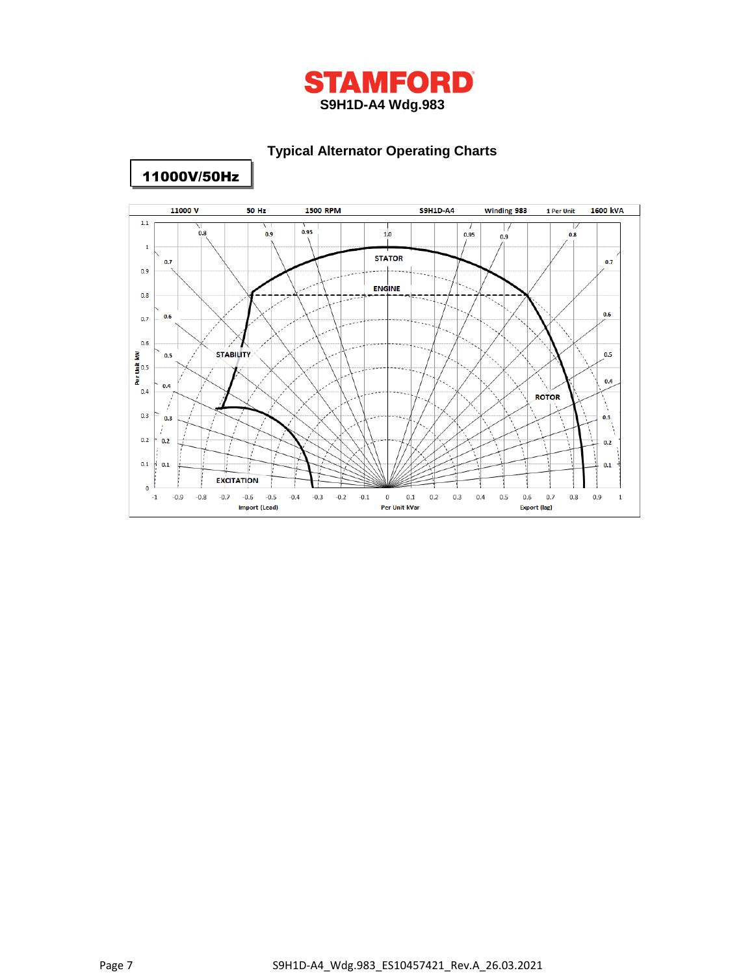

## **Typical Alternator Operating Charts**



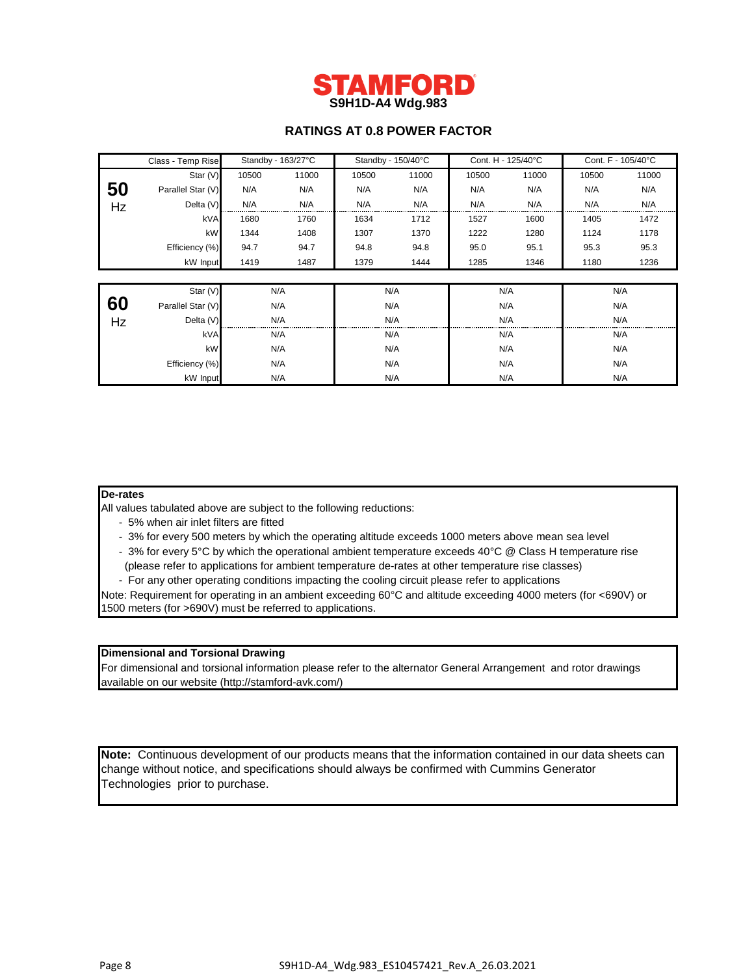

## **RATINGS AT 0.8 POWER FACTOR**

|    | Class - Temp Rise | Standby - 163/27°C |       | Standby - 150/40°C |       | Cont. H - 125/40°C |       | Cont. F - 105/40°C |       |  |
|----|-------------------|--------------------|-------|--------------------|-------|--------------------|-------|--------------------|-------|--|
|    | Star (V)          | 10500              | 11000 | 10500              | 11000 | 10500              | 11000 | 10500              | 11000 |  |
| 50 | Parallel Star (V) | N/A                | N/A   | N/A                | N/A   | N/A                | N/A   | N/A                | N/A   |  |
| Hz | Delta (V)         | N/A                | N/A   | N/A                | N/A   | N/A                | N/A   | N/A                | N/A   |  |
|    | kVA               | 1680               | 1760  | 1634               | 1712  | 1527               | 1600  | 1405               | 1472  |  |
|    | kW                | 1344               | 1408  | 1307               | 1370  | 1222               | 1280  | 1124               | 1178  |  |
|    | Efficiency (%)    | 94.7               | 94.7  | 94.8               | 94.8  | 95.0               | 95.1  | 95.3               | 95.3  |  |
|    | kW Input          | 1419               | 1487  | 1379               | 1444  | 1285               | 1346  | 1180               | 1236  |  |
|    |                   |                    |       |                    |       |                    |       |                    |       |  |
|    | Star (V)          |                    | N/A   |                    | N/A   | N/A                |       |                    | N/A   |  |
| 60 | Parallel Star (V) |                    | N/A   | N/A                |       | N/A                |       | N/A                |       |  |
| Hz | Delta $(V)$       |                    | N/A   |                    | N/A   |                    | N/A   |                    | N/A   |  |
|    | kVA               | N/A                |       | N/A                |       | N/A                |       | N/A                |       |  |
|    | kW                | N/A                |       | N/A                |       | N/A                |       | N/A                |       |  |
|    | Efficiency (%)    | N/A                |       | N/A                |       | N/A                |       | N/A                |       |  |
|    | kW Input          | N/A                |       | N/A                |       | N/A                |       | N/A                |       |  |

## **De-rates**

All values tabulated above are subject to the following reductions:

- 5% when air inlet filters are fitted
- 3% for every 500 meters by which the operating altitude exceeds 1000 meters above mean sea level
- 3% for every 5°C by which the operational ambient temperature exceeds 40°C @ Class H temperature rise
- (please refer to applications for ambient temperature de-rates at other temperature rise classes)
- For any other operating conditions impacting the cooling circuit please refer to applications

Note: Requirement for operating in an ambient exceeding 60°C and altitude exceeding 4000 meters (for <690V) or 1500 meters (for >690V) must be referred to applications.

## **Dimensional and Torsional Drawing**

For dimensional and torsional information please refer to the alternator General Arrangement and rotor drawings available on our website (http://stamford-avk.com/)

**Note:** Continuous development of our products means that the information contained in our data sheets can change without notice, and specifications should always be confirmed with Cummins Generator Technologies prior to purchase.